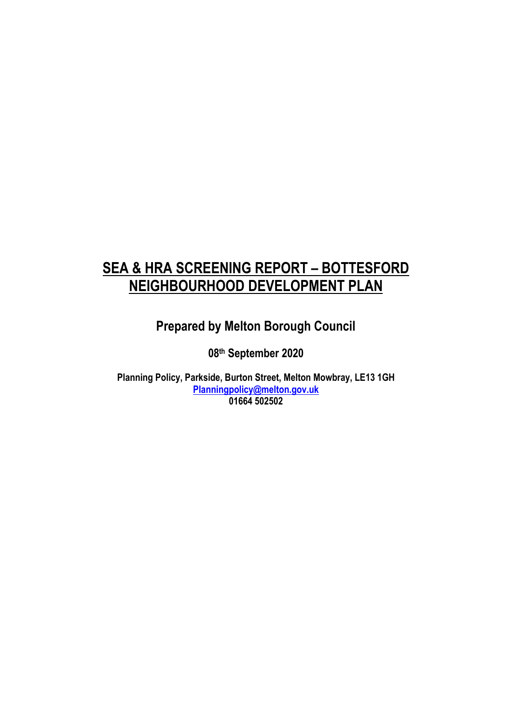# **SEA & HRA SCREENING REPORT – BOTTESFORD NEIGHBOURHOOD DEVELOPMENT PLAN**

**Prepared by Melton Borough Council**

**08 th September 2020**

**Planning Policy, Parkside, Burton Street, Melton Mowbray, LE13 1GH [Planningpolicy@melton.gov.uk](mailto:Planningpolicy@melton.gov.uk) 01664 502502**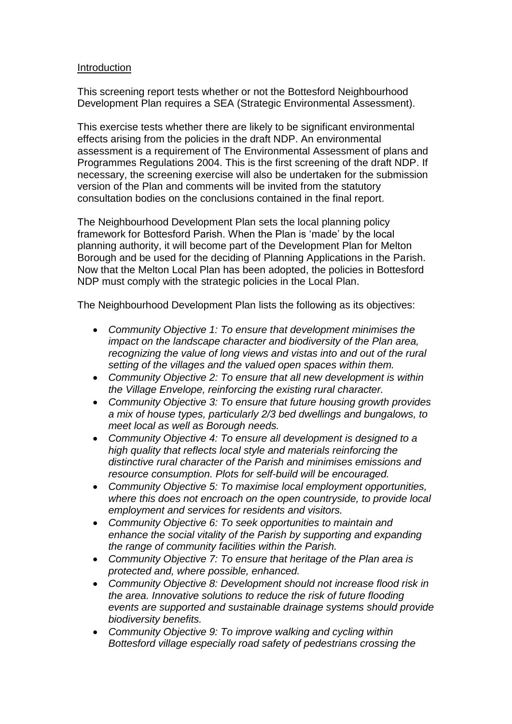### **Introduction**

This screening report tests whether or not the Bottesford Neighbourhood Development Plan requires a SEA (Strategic Environmental Assessment).

This exercise tests whether there are likely to be significant environmental effects arising from the policies in the draft NDP. An environmental assessment is a requirement of The Environmental Assessment of plans and Programmes Regulations 2004. This is the first screening of the draft NDP. If necessary, the screening exercise will also be undertaken for the submission version of the Plan and comments will be invited from the statutory consultation bodies on the conclusions contained in the final report.

The Neighbourhood Development Plan sets the local planning policy framework for Bottesford Parish. When the Plan is 'made' by the local planning authority, it will become part of the Development Plan for Melton Borough and be used for the deciding of Planning Applications in the Parish. Now that the Melton Local Plan has been adopted, the policies in Bottesford NDP must comply with the strategic policies in the Local Plan.

The Neighbourhood Development Plan lists the following as its objectives:

- *Community Objective 1: To ensure that development minimises the impact on the landscape character and biodiversity of the Plan area, recognizing the value of long views and vistas into and out of the rural setting of the villages and the valued open spaces within them.*
- *Community Objective 2: To ensure that all new development is within the Village Envelope, reinforcing the existing rural character.*
- *Community Objective 3: To ensure that future housing growth provides a mix of house types, particularly 2/3 bed dwellings and bungalows, to meet local as well as Borough needs.*
- *Community Objective 4: To ensure all development is designed to a high quality that reflects local style and materials reinforcing the distinctive rural character of the Parish and minimises emissions and resource consumption. Plots for self-build will be encouraged.*
- *Community Objective 5: To maximise local employment opportunities, where this does not encroach on the open countryside, to provide local employment and services for residents and visitors.*
- *Community Objective 6: To seek opportunities to maintain and enhance the social vitality of the Parish by supporting and expanding the range of community facilities within the Parish.*
- *Community Objective 7: To ensure that heritage of the Plan area is protected and, where possible, enhanced.*
- *Community Objective 8: Development should not increase flood risk in the area. Innovative solutions to reduce the risk of future flooding events are supported and sustainable drainage systems should provide biodiversity benefits.*
- *Community Objective 9: To improve walking and cycling within Bottesford village especially road safety of pedestrians crossing the*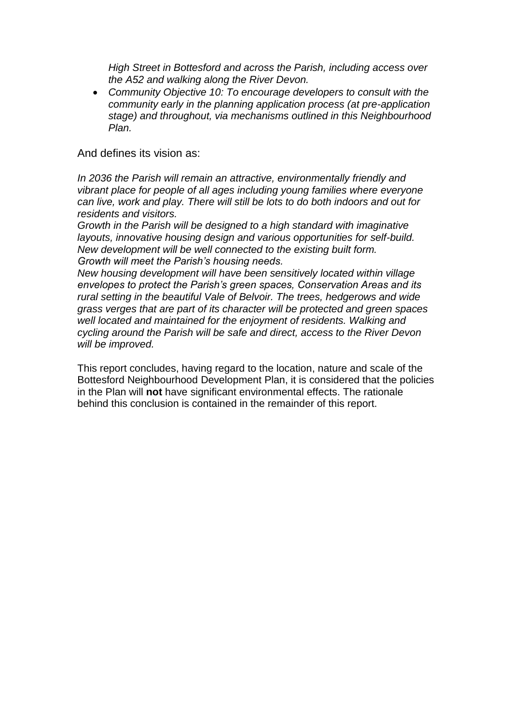*High Street in Bottesford and across the Parish, including access over the A52 and walking along the River Devon.* 

 *Community Objective 10: To encourage developers to consult with the community early in the planning application process (at pre-application stage) and throughout, via mechanisms outlined in this Neighbourhood Plan.*

And defines its vision as:

*In 2036 the Parish will remain an attractive, environmentally friendly and vibrant place for people of all ages including young families where everyone can live, work and play. There will still be lots to do both indoors and out for residents and visitors.* 

*Growth in the Parish will be designed to a high standard with imaginative layouts, innovative housing design and various opportunities for self-build. New development will be well connected to the existing built form. Growth will meet the Parish's housing needs.* 

*New housing development will have been sensitively located within village envelopes to protect the Parish's green spaces, Conservation Areas and its rural setting in the beautiful Vale of Belvoir. The trees, hedgerows and wide grass verges that are part of its character will be protected and green spaces well located and maintained for the enjoyment of residents. Walking and cycling around the Parish will be safe and direct, access to the River Devon will be improved.*

This report concludes, having regard to the location, nature and scale of the Bottesford Neighbourhood Development Plan, it is considered that the policies in the Plan will **not** have significant environmental effects. The rationale behind this conclusion is contained in the remainder of this report.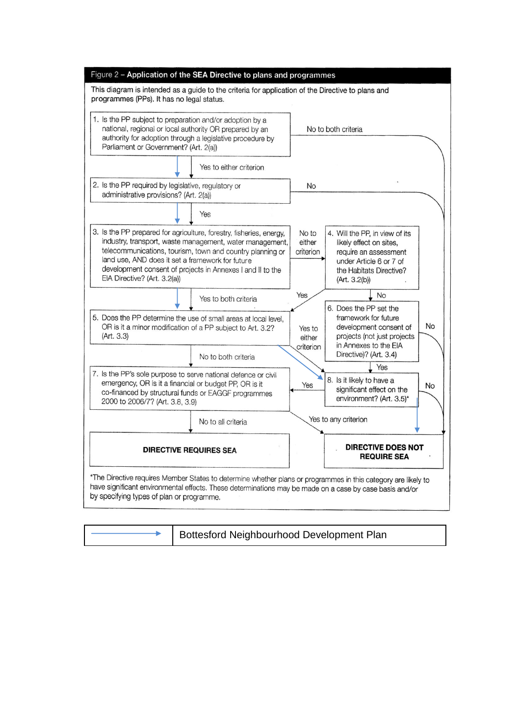| Figure 2 - Application of the SEA Directive to plans and programmes                                                                                                                                                                                                                                                                            |  |                               |                                                                                                                                                            |           |
|------------------------------------------------------------------------------------------------------------------------------------------------------------------------------------------------------------------------------------------------------------------------------------------------------------------------------------------------|--|-------------------------------|------------------------------------------------------------------------------------------------------------------------------------------------------------|-----------|
| This diagram is intended as a guide to the criteria for application of the Directive to plans and<br>programmes (PPs). It has no legal status.                                                                                                                                                                                                 |  |                               |                                                                                                                                                            |           |
| 1. Is the PP subject to preparation and/or adoption by a<br>national, regional or local authority OR prepared by an<br>authority for adoption through a legislative procedure by<br>Parliament or Government? (Art. 2(a))                                                                                                                      |  |                               | No to both criteria                                                                                                                                        |           |
| Yes to either criterion                                                                                                                                                                                                                                                                                                                        |  |                               |                                                                                                                                                            |           |
| 2. Is the PP required by legislative, regulatory or<br>administrative provisions? (Art. 2(a))                                                                                                                                                                                                                                                  |  | <b>No</b>                     |                                                                                                                                                            |           |
| Yes                                                                                                                                                                                                                                                                                                                                            |  |                               |                                                                                                                                                            |           |
| 3. Is the PP prepared for agriculture, forestry, fisheries, energy,<br>industry, transport, waste management, water management,<br>telecommunications, tourism, town and country planning or<br>land use, AND does it set a framework for future<br>development consent of projects in Annexes I and II to the<br>EIA Directive? (Art. 3.2(a)) |  | No to<br>either<br>criterion  | 4. Will the PP, in view of its<br>likely effect on sites,<br>require an assessment<br>under Article 6 or 7 of<br>the Habitats Directive?<br>(Art. 3.2(b))  |           |
| Yes to both criteria                                                                                                                                                                                                                                                                                                                           |  | Yes                           | No                                                                                                                                                         |           |
| 5. Does the PP determine the use of small areas at local level,<br>OR is it a minor modification of a PP subject to Art. 3.2?<br>(Art. 3.3)<br>No to both criteria                                                                                                                                                                             |  | Yes to<br>either<br>criterion | 6. Does the PP set the<br>framework for future<br>development consent of<br>projects (not just projects<br>in Annexes to the EIA<br>Directive)? (Art. 3.4) | <b>No</b> |
|                                                                                                                                                                                                                                                                                                                                                |  |                               | Yes                                                                                                                                                        |           |
| 7. Is the PP's sole purpose to serve national defence or civil<br>emergency, OR is it a financial or budget PP, OR is it<br>co-financed by structural funds or EAGGF programmes<br>2000 to 2006/7? (Art. 3.8, 3.9)                                                                                                                             |  | Yes                           | 8. Is it likely to have a<br>significant effect on the<br>environment? (Art. 3.5)*                                                                         | <b>No</b> |
| No to all criteria                                                                                                                                                                                                                                                                                                                             |  |                               | Yes to any criterion                                                                                                                                       |           |
| <b>DIRECTIVE REQUIRES SEA</b>                                                                                                                                                                                                                                                                                                                  |  |                               | <b>DIRECTIVE DOES NOT</b><br><b>REQUIRE SEA</b>                                                                                                            |           |
| *The Directive requires Member States to determine whether plans or programmes in this category are likely to<br>have significant environmental effects. These determinations may be made on a case by case basis and/or<br>by specifying types of plan or programme.                                                                          |  |                               |                                                                                                                                                            |           |

Bottesford Neighbourhood Development Plan Ł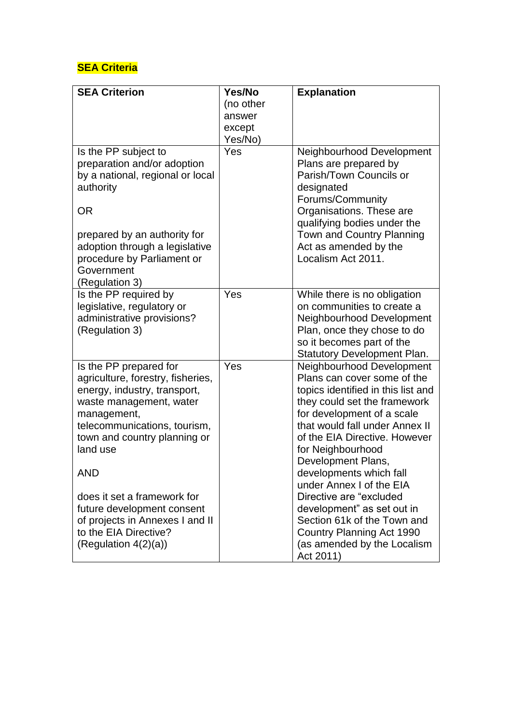## **SEA Criteria**

| <b>SEA Criterion</b>                        | Yes/No    | <b>Explanation</b>                                         |
|---------------------------------------------|-----------|------------------------------------------------------------|
|                                             | (no other |                                                            |
|                                             | answer    |                                                            |
|                                             | except    |                                                            |
|                                             | Yes/No)   |                                                            |
| Is the PP subject to                        | Yes       | Neighbourhood Development                                  |
| preparation and/or adoption                 |           | Plans are prepared by                                      |
| by a national, regional or local            |           | Parish/Town Councils or                                    |
| authority                                   |           | designated                                                 |
|                                             |           | Forums/Community                                           |
| <b>OR</b>                                   |           | Organisations. These are                                   |
|                                             |           | qualifying bodies under the                                |
| prepared by an authority for                |           | Town and Country Planning                                  |
| adoption through a legislative              |           | Act as amended by the                                      |
| procedure by Parliament or                  |           | Localism Act 2011.                                         |
| Government                                  |           |                                                            |
| (Regulation 3)                              |           |                                                            |
| Is the PP required by                       | Yes       | While there is no obligation                               |
| legislative, regulatory or                  |           | on communities to create a                                 |
| administrative provisions?                  |           | Neighbourhood Development                                  |
| (Regulation 3)                              |           | Plan, once they chose to do                                |
|                                             |           | so it becomes part of the                                  |
|                                             |           | <b>Statutory Development Plan.</b>                         |
| Is the PP prepared for                      | Yes       | Neighbourhood Development                                  |
| agriculture, forestry, fisheries,           |           | Plans can cover some of the                                |
| energy, industry, transport,                |           | topics identified in this list and                         |
| waste management, water                     |           | they could set the framework<br>for development of a scale |
| management,<br>telecommunications, tourism, |           | that would fall under Annex II                             |
| town and country planning or                |           | of the EIA Directive. However                              |
| land use                                    |           | for Neighbourhood                                          |
|                                             |           | Development Plans,                                         |
| AND                                         |           | developments which fall                                    |
|                                             |           | under Annex I of the EIA                                   |
| does it set a framework for                 |           | Directive are "excluded                                    |
| future development consent                  |           | development" as set out in                                 |
| of projects in Annexes I and II             |           | Section 61k of the Town and                                |
| to the EIA Directive?                       |           | Country Planning Act 1990                                  |
| (Regulation $4(2)(a)$ )                     |           | (as amended by the Localism                                |
|                                             |           | Act 2011)                                                  |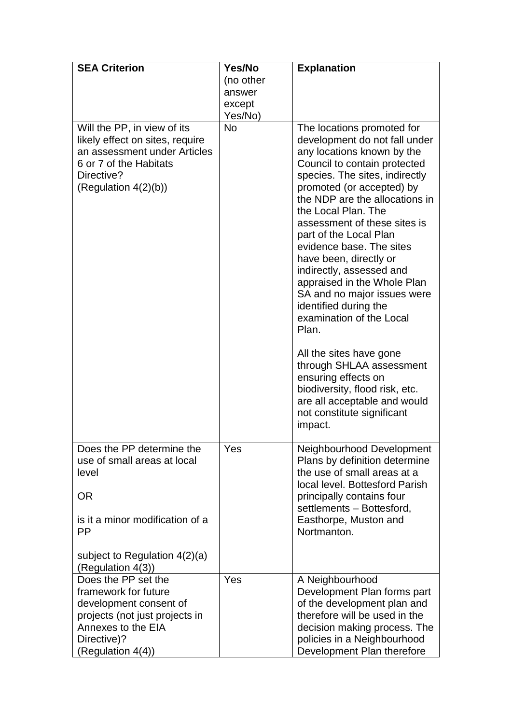| <b>SEA Criterion</b>                                                                                                                                              | Yes/No           | <b>Explanation</b>                                                                                                                                                                                                                                                                                                                                                                                                                                                                                                        |
|-------------------------------------------------------------------------------------------------------------------------------------------------------------------|------------------|---------------------------------------------------------------------------------------------------------------------------------------------------------------------------------------------------------------------------------------------------------------------------------------------------------------------------------------------------------------------------------------------------------------------------------------------------------------------------------------------------------------------------|
|                                                                                                                                                                   | (no other        |                                                                                                                                                                                                                                                                                                                                                                                                                                                                                                                           |
|                                                                                                                                                                   | answer<br>except |                                                                                                                                                                                                                                                                                                                                                                                                                                                                                                                           |
|                                                                                                                                                                   | Yes/No)          |                                                                                                                                                                                                                                                                                                                                                                                                                                                                                                                           |
| Will the PP, in view of its<br>likely effect on sites, require<br>an assessment under Articles<br>6 or 7 of the Habitats<br>Directive?<br>(Regulation $4(2)(b)$ ) | <b>No</b>        | The locations promoted for<br>development do not fall under<br>any locations known by the<br>Council to contain protected<br>species. The sites, indirectly<br>promoted (or accepted) by<br>the NDP are the allocations in<br>the Local Plan. The<br>assessment of these sites is<br>part of the Local Plan<br>evidence base. The sites<br>have been, directly or<br>indirectly, assessed and<br>appraised in the Whole Plan<br>SA and no major issues were<br>identified during the<br>examination of the Local<br>Plan. |
|                                                                                                                                                                   |                  | All the sites have gone<br>through SHLAA assessment<br>ensuring effects on<br>biodiversity, flood risk, etc.<br>are all acceptable and would<br>not constitute significant<br>impact.                                                                                                                                                                                                                                                                                                                                     |
| Does the PP determine the<br>use of small areas at local<br>level                                                                                                 | Yes              | Neighbourhood Development<br>Plans by definition determine<br>the use of small areas at a<br>local level. Bottesford Parish                                                                                                                                                                                                                                                                                                                                                                                               |
| <b>OR</b><br>is it a minor modification of a                                                                                                                      |                  | principally contains four<br>settlements - Bottesford,<br>Easthorpe, Muston and                                                                                                                                                                                                                                                                                                                                                                                                                                           |
| <b>PP</b>                                                                                                                                                         |                  | Nortmanton.                                                                                                                                                                                                                                                                                                                                                                                                                                                                                                               |
| subject to Regulation $4(2)(a)$<br>(Regulation 4(3))                                                                                                              |                  |                                                                                                                                                                                                                                                                                                                                                                                                                                                                                                                           |
| Does the PP set the                                                                                                                                               | Yes              | A Neighbourhood                                                                                                                                                                                                                                                                                                                                                                                                                                                                                                           |
| framework for future                                                                                                                                              |                  | Development Plan forms part                                                                                                                                                                                                                                                                                                                                                                                                                                                                                               |
| development consent of<br>projects (not just projects in                                                                                                          |                  | of the development plan and<br>therefore will be used in the                                                                                                                                                                                                                                                                                                                                                                                                                                                              |
| Annexes to the EIA                                                                                                                                                |                  | decision making process. The                                                                                                                                                                                                                                                                                                                                                                                                                                                                                              |
| Directive)?                                                                                                                                                       |                  | policies in a Neighbourhood                                                                                                                                                                                                                                                                                                                                                                                                                                                                                               |
| (Regulation 4(4))                                                                                                                                                 |                  | Development Plan therefore                                                                                                                                                                                                                                                                                                                                                                                                                                                                                                |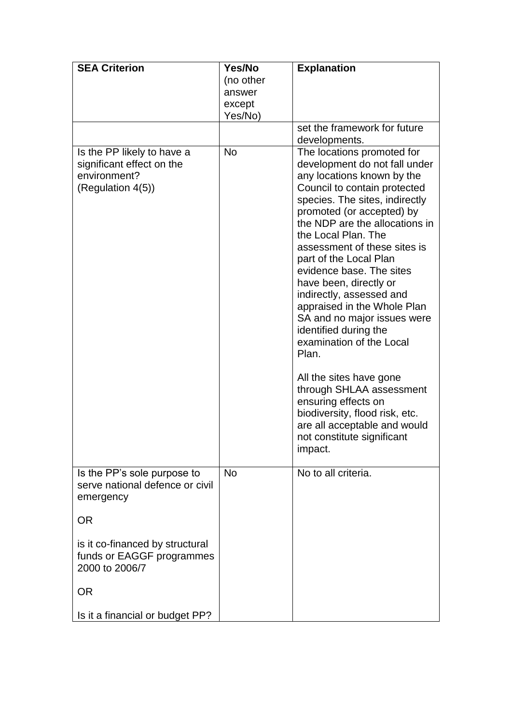| <b>SEA Criterion</b>                                                                         | Yes/No<br>(no other<br>answer<br>except<br>Yes/No) | <b>Explanation</b>                                                                                                                                                                                                                                                                                                                                                                                                                                                                                                                                                                                                                                                                                                 |
|----------------------------------------------------------------------------------------------|----------------------------------------------------|--------------------------------------------------------------------------------------------------------------------------------------------------------------------------------------------------------------------------------------------------------------------------------------------------------------------------------------------------------------------------------------------------------------------------------------------------------------------------------------------------------------------------------------------------------------------------------------------------------------------------------------------------------------------------------------------------------------------|
|                                                                                              |                                                    | set the framework for future<br>developments.                                                                                                                                                                                                                                                                                                                                                                                                                                                                                                                                                                                                                                                                      |
| Is the PP likely to have a<br>significant effect on the<br>environment?<br>(Regulation 4(5)) | <b>No</b>                                          | The locations promoted for<br>development do not fall under<br>any locations known by the<br>Council to contain protected<br>species. The sites, indirectly<br>promoted (or accepted) by<br>the NDP are the allocations in<br>the Local Plan. The<br>assessment of these sites is<br>part of the Local Plan<br>evidence base. The sites<br>have been, directly or<br>indirectly, assessed and<br>appraised in the Whole Plan<br>SA and no major issues were<br>identified during the<br>examination of the Local<br>Plan.<br>All the sites have gone<br>through SHLAA assessment<br>ensuring effects on<br>biodiversity, flood risk, etc.<br>are all acceptable and would<br>not constitute significant<br>impact. |
| Is the PP's sole purpose to<br>serve national defence or civil<br>emergency                  | <b>No</b>                                          | No to all criteria.                                                                                                                                                                                                                                                                                                                                                                                                                                                                                                                                                                                                                                                                                                |
| <b>OR</b>                                                                                    |                                                    |                                                                                                                                                                                                                                                                                                                                                                                                                                                                                                                                                                                                                                                                                                                    |
| is it co-financed by structural<br>funds or EAGGF programmes<br>2000 to 2006/7               |                                                    |                                                                                                                                                                                                                                                                                                                                                                                                                                                                                                                                                                                                                                                                                                                    |
| <b>OR</b>                                                                                    |                                                    |                                                                                                                                                                                                                                                                                                                                                                                                                                                                                                                                                                                                                                                                                                                    |
| Is it a financial or budget PP?                                                              |                                                    |                                                                                                                                                                                                                                                                                                                                                                                                                                                                                                                                                                                                                                                                                                                    |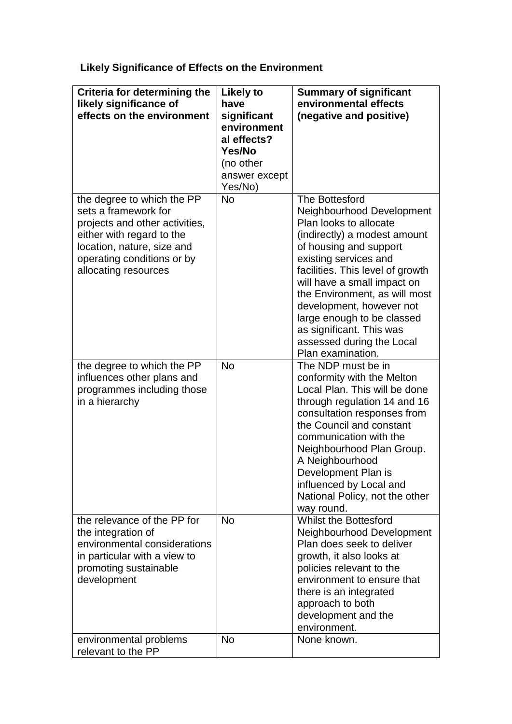**Likely Significance of Effects on the Environment**

| Criteria for determining the<br>likely significance of<br>effects on the environment                                                                                                                  | <b>Likely to</b><br>have<br>significant<br>environment<br>al effects?<br>Yes/No<br>(no other<br>answer except<br>Yes/No) | <b>Summary of significant</b><br>environmental effects<br>(negative and positive)                                                                                                                                                                                                                                                                                                                    |
|-------------------------------------------------------------------------------------------------------------------------------------------------------------------------------------------------------|--------------------------------------------------------------------------------------------------------------------------|------------------------------------------------------------------------------------------------------------------------------------------------------------------------------------------------------------------------------------------------------------------------------------------------------------------------------------------------------------------------------------------------------|
| the degree to which the PP<br>sets a framework for<br>projects and other activities,<br>either with regard to the<br>location, nature, size and<br>operating conditions or by<br>allocating resources | <b>No</b>                                                                                                                | The Bottesford<br>Neighbourhood Development<br>Plan looks to allocate<br>(indirectly) a modest amount<br>of housing and support<br>existing services and<br>facilities. This level of growth<br>will have a small impact on<br>the Environment, as will most<br>development, however not<br>large enough to be classed<br>as significant. This was<br>assessed during the Local<br>Plan examination. |
| the degree to which the PP<br>influences other plans and<br>programmes including those<br>in a hierarchy                                                                                              | <b>No</b>                                                                                                                | The NDP must be in<br>conformity with the Melton<br>Local Plan. This will be done<br>through regulation 14 and 16<br>consultation responses from<br>the Council and constant<br>communication with the<br>Neighbourhood Plan Group.<br>A Neighbourhood<br>Development Plan is<br>influenced by Local and<br>National Policy, not the other<br>way round.                                             |
| the relevance of the PP for<br>the integration of<br>environmental considerations<br>in particular with a view to<br>promoting sustainable<br>development                                             | <b>No</b>                                                                                                                | <b>Whilst the Bottesford</b><br>Neighbourhood Development<br>Plan does seek to deliver<br>growth, it also looks at<br>policies relevant to the<br>environment to ensure that<br>there is an integrated<br>approach to both<br>development and the<br>environment.                                                                                                                                    |
| environmental problems<br>relevant to the PP                                                                                                                                                          | <b>No</b>                                                                                                                | None known.                                                                                                                                                                                                                                                                                                                                                                                          |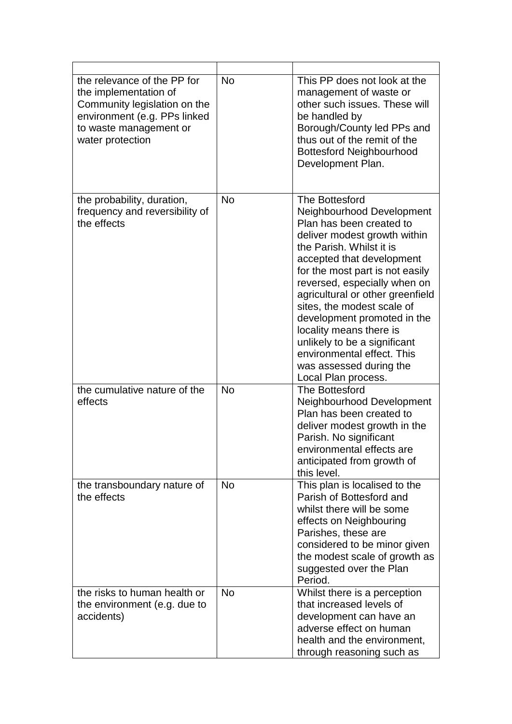| the relevance of the PP for<br>the implementation of<br>Community legislation on the<br>environment (e.g. PPs linked<br>to waste management or<br>water protection | <b>No</b> | This PP does not look at the<br>management of waste or<br>other such issues. These will<br>be handled by<br>Borough/County led PPs and<br>thus out of the remit of the<br><b>Bottesford Neighbourhood</b><br>Development Plan.                                                                                                                                                                                                                                                  |
|--------------------------------------------------------------------------------------------------------------------------------------------------------------------|-----------|---------------------------------------------------------------------------------------------------------------------------------------------------------------------------------------------------------------------------------------------------------------------------------------------------------------------------------------------------------------------------------------------------------------------------------------------------------------------------------|
| the probability, duration,<br>frequency and reversibility of<br>the effects                                                                                        | <b>No</b> | The Bottesford<br>Neighbourhood Development<br>Plan has been created to<br>deliver modest growth within<br>the Parish. Whilst it is<br>accepted that development<br>for the most part is not easily<br>reversed, especially when on<br>agricultural or other greenfield<br>sites, the modest scale of<br>development promoted in the<br>locality means there is<br>unlikely to be a significant<br>environmental effect. This<br>was assessed during the<br>Local Plan process. |
| the cumulative nature of the<br>effects                                                                                                                            | <b>No</b> | The Bottesford<br>Neighbourhood Development<br>Plan has been created to<br>deliver modest growth in the<br>Parish. No significant<br>environmental effects are<br>anticipated from growth of<br>this level.                                                                                                                                                                                                                                                                     |
| the transboundary nature of<br>the effects                                                                                                                         | <b>No</b> | This plan is localised to the<br>Parish of Bottesford and<br>whilst there will be some<br>effects on Neighbouring<br>Parishes, these are<br>considered to be minor given<br>the modest scale of growth as<br>suggested over the Plan<br>Period.                                                                                                                                                                                                                                 |
| the risks to human health or<br>the environment (e.g. due to<br>accidents)                                                                                         | <b>No</b> | Whilst there is a perception<br>that increased levels of<br>development can have an<br>adverse effect on human<br>health and the environment,<br>through reasoning such as                                                                                                                                                                                                                                                                                                      |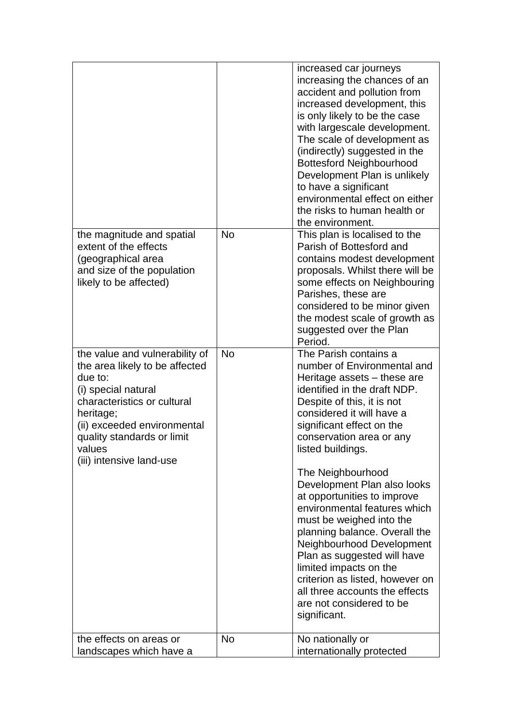|                                                                                                                                                                                                                                                   |           | increased car journeys<br>increasing the chances of an<br>accident and pollution from<br>increased development, this<br>is only likely to be the case<br>with largescale development.<br>The scale of development as<br>(indirectly) suggested in the<br><b>Bottesford Neighbourhood</b><br>Development Plan is unlikely<br>to have a significant<br>environmental effect on either<br>the risks to human health or<br>the environment.                                                                                                                                                                                                             |
|---------------------------------------------------------------------------------------------------------------------------------------------------------------------------------------------------------------------------------------------------|-----------|-----------------------------------------------------------------------------------------------------------------------------------------------------------------------------------------------------------------------------------------------------------------------------------------------------------------------------------------------------------------------------------------------------------------------------------------------------------------------------------------------------------------------------------------------------------------------------------------------------------------------------------------------------|
| the magnitude and spatial<br>extent of the effects<br>(geographical area<br>and size of the population<br>likely to be affected)                                                                                                                  | No        | This plan is localised to the<br>Parish of Bottesford and<br>contains modest development<br>proposals. Whilst there will be<br>some effects on Neighbouring<br>Parishes, these are<br>considered to be minor given<br>the modest scale of growth as<br>suggested over the Plan<br>Period.                                                                                                                                                                                                                                                                                                                                                           |
| the value and vulnerability of<br>the area likely to be affected<br>due to:<br>(i) special natural<br>characteristics or cultural<br>heritage;<br>(ii) exceeded environmental<br>quality standards or limit<br>values<br>(iii) intensive land-use | <b>No</b> | The Parish contains a<br>number of Environmental and<br>Heritage assets – these are<br>identified in the draft NDP.<br>Despite of this, it is not<br>considered it will have a<br>significant effect on the<br>conservation area or any<br>listed buildings.<br>The Neighbourhood<br>Development Plan also looks<br>at opportunities to improve<br>environmental features which<br>must be weighed into the<br>planning balance. Overall the<br>Neighbourhood Development<br>Plan as suggested will have<br>limited impacts on the<br>criterion as listed, however on<br>all three accounts the effects<br>are not considered to be<br>significant. |
| the effects on areas or<br>landscapes which have a                                                                                                                                                                                                | <b>No</b> | No nationally or<br>internationally protected                                                                                                                                                                                                                                                                                                                                                                                                                                                                                                                                                                                                       |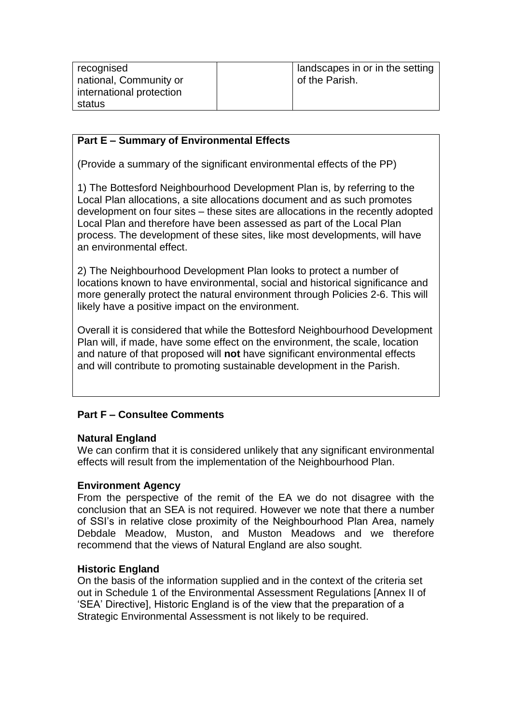| recognised               | I landscapes in or in the setting |
|--------------------------|-----------------------------------|
| national, Community or   | of the Parish.                    |
| international protection |                                   |
| status                   |                                   |
|                          |                                   |

### **Part E – Summary of Environmental Effects**

(Provide a summary of the significant environmental effects of the PP)

1) The Bottesford Neighbourhood Development Plan is, by referring to the Local Plan allocations, a site allocations document and as such promotes development on four sites – these sites are allocations in the recently adopted Local Plan and therefore have been assessed as part of the Local Plan process. The development of these sites, like most developments, will have an environmental effect.

2) The Neighbourhood Development Plan looks to protect a number of locations known to have environmental, social and historical significance and more generally protect the natural environment through Policies 2-6. This will likely have a positive impact on the environment.

Overall it is considered that while the Bottesford Neighbourhood Development Plan will, if made, have some effect on the environment, the scale, location and nature of that proposed will **not** have significant environmental effects and will contribute to promoting sustainable development in the Parish.

### **Part F – Consultee Comments**

### **Natural England**

We can confirm that it is considered unlikely that any significant environmental effects will result from the implementation of the Neighbourhood Plan.

### **Environment Agency**

From the perspective of the remit of the EA we do not disagree with the conclusion that an SEA is not required. However we note that there a number of SSI's in relative close proximity of the Neighbourhood Plan Area, namely Debdale Meadow, Muston, and Muston Meadows and we therefore recommend that the views of Natural England are also sought.

### **Historic England**

On the basis of the information supplied and in the context of the criteria set out in Schedule 1 of the Environmental Assessment Regulations [Annex II of 'SEA' Directive], Historic England is of the view that the preparation of a Strategic Environmental Assessment is not likely to be required.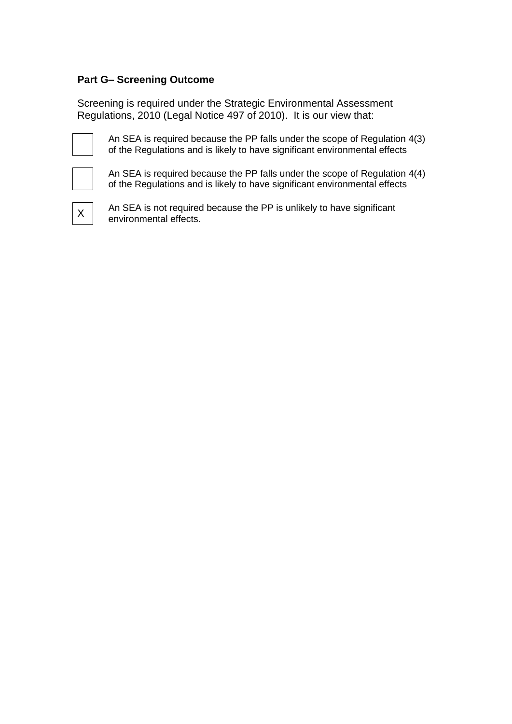### **Part G– Screening Outcome**

Screening is required under the Strategic Environmental Assessment Regulations, 2010 (Legal Notice 497 of 2010). It is our view that:



An SEA is required because the PP falls under the scope of Regulation 4(3) of the Regulations and is likely to have significant environmental effects

An SEA is required because the PP falls under the scope of Regulation 4(4) of the Regulations and is likely to have significant environmental effects



An SEA is not required because the PP is unlikely to have significant environmental effects.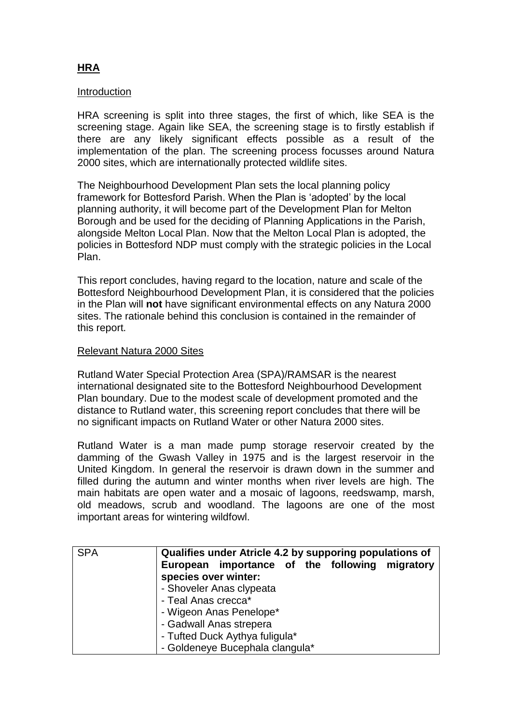# **HRA**

### Introduction

HRA screening is split into three stages, the first of which, like SEA is the screening stage. Again like SEA, the screening stage is to firstly establish if there are any likely significant effects possible as a result of the implementation of the plan. The screening process focusses around Natura 2000 sites, which are internationally protected wildlife sites.

The Neighbourhood Development Plan sets the local planning policy framework for Bottesford Parish. When the Plan is 'adopted' by the local planning authority, it will become part of the Development Plan for Melton Borough and be used for the deciding of Planning Applications in the Parish, alongside Melton Local Plan. Now that the Melton Local Plan is adopted, the policies in Bottesford NDP must comply with the strategic policies in the Local Plan.

This report concludes, having regard to the location, nature and scale of the Bottesford Neighbourhood Development Plan, it is considered that the policies in the Plan will **not** have significant environmental effects on any Natura 2000 sites. The rationale behind this conclusion is contained in the remainder of this report.

### Relevant Natura 2000 Sites

Rutland Water Special Protection Area (SPA)/RAMSAR is the nearest international designated site to the Bottesford Neighbourhood Development Plan boundary. Due to the modest scale of development promoted and the distance to Rutland water, this screening report concludes that there will be no significant impacts on Rutland Water or other Natura 2000 sites.

Rutland Water is a man made pump storage reservoir created by the damming of the Gwash Valley in 1975 and is the largest reservoir in the United Kingdom. In general the reservoir is drawn down in the summer and filled during the autumn and winter months when river levels are high. The main habitats are open water and a mosaic of lagoons, reedswamp, marsh, old meadows, scrub and woodland. The lagoons are one of the most important areas for wintering wildfowl.

| <b>SPA</b> | Qualifies under Atricle 4.2 by supporing populations of<br>European importance of the following migratory<br>species over winter:                                          |
|------------|----------------------------------------------------------------------------------------------------------------------------------------------------------------------------|
|            | - Shoveler Anas clypeata<br>- Teal Anas crecca*<br>- Wigeon Anas Penelope*<br>- Gadwall Anas strepera<br>- Tufted Duck Aythya fuligula*<br>- Goldeneye Bucephala clangula* |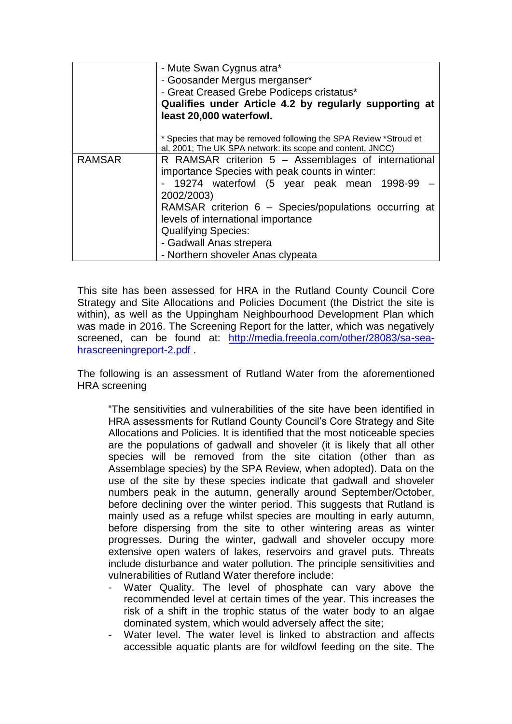|               | - Mute Swan Cygnus atra*<br>- Goosander Mergus merganser*<br>- Great Creased Grebe Podiceps cristatus*                          |
|---------------|---------------------------------------------------------------------------------------------------------------------------------|
|               | Qualifies under Article 4.2 by regularly supporting at<br>least 20,000 waterfowl.                                               |
|               | * Species that may be removed following the SPA Review *Stroud et<br>al, 2001; The UK SPA network: its scope and content, JNCC) |
| <b>RAMSAR</b> | R RAMSAR criterion 5 - Assemblages of international<br>importance Species with peak counts in winter:                           |
|               | - 19274 waterfowl (5 year peak mean 1998-99<br>2002/2003)                                                                       |
|               | RAMSAR criterion 6 - Species/populations occurring at<br>levels of international importance                                     |
|               | <b>Qualifying Species:</b>                                                                                                      |
|               | - Gadwall Anas strepera                                                                                                         |
|               | - Northern shoveler Anas clypeata                                                                                               |

This site has been assessed for HRA in the Rutland County Council Core Strategy and Site Allocations and Policies Document (the District the site is within), as well as the Uppingham Neighbourhood Development Plan which was made in 2016. The Screening Report for the latter, which was negatively screened, can be found at: [http://media.freeola.com/other/28083/sa-sea](http://media.freeola.com/other/28083/sa-sea-hrascreeningreport-2.pdf)[hrascreeningreport-2.pdf](http://media.freeola.com/other/28083/sa-sea-hrascreeningreport-2.pdf) .

The following is an assessment of Rutland Water from the aforementioned HRA screening

"The sensitivities and vulnerabilities of the site have been identified in HRA assessments for Rutland County Council's Core Strategy and Site Allocations and Policies. It is identified that the most noticeable species are the populations of gadwall and shoveler (it is likely that all other species will be removed from the site citation (other than as Assemblage species) by the SPA Review, when adopted). Data on the use of the site by these species indicate that gadwall and shoveler numbers peak in the autumn, generally around September/October, before declining over the winter period. This suggests that Rutland is mainly used as a refuge whilst species are moulting in early autumn, before dispersing from the site to other wintering areas as winter progresses. During the winter, gadwall and shoveler occupy more extensive open waters of lakes, reservoirs and gravel puts. Threats include disturbance and water pollution. The principle sensitivities and vulnerabilities of Rutland Water therefore include:

- Water Quality. The level of phosphate can vary above the recommended level at certain times of the year. This increases the risk of a shift in the trophic status of the water body to an algae dominated system, which would adversely affect the site;
- Water level. The water level is linked to abstraction and affects accessible aquatic plants are for wildfowl feeding on the site. The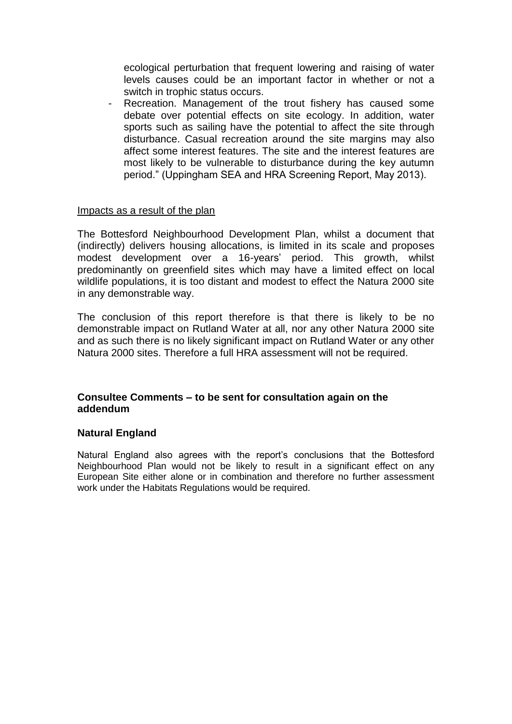ecological perturbation that frequent lowering and raising of water levels causes could be an important factor in whether or not a switch in trophic status occurs.

Recreation. Management of the trout fishery has caused some debate over potential effects on site ecology. In addition, water sports such as sailing have the potential to affect the site through disturbance. Casual recreation around the site margins may also affect some interest features. The site and the interest features are most likely to be vulnerable to disturbance during the key autumn period." (Uppingham SEA and HRA Screening Report, May 2013).

### Impacts as a result of the plan

The Bottesford Neighbourhood Development Plan, whilst a document that (indirectly) delivers housing allocations, is limited in its scale and proposes modest development over a 16-years' period. This growth, whilst predominantly on greenfield sites which may have a limited effect on local wildlife populations, it is too distant and modest to effect the Natura 2000 site in any demonstrable way.

The conclusion of this report therefore is that there is likely to be no demonstrable impact on Rutland Water at all, nor any other Natura 2000 site and as such there is no likely significant impact on Rutland Water or any other Natura 2000 sites. Therefore a full HRA assessment will not be required.

### **Consultee Comments – to be sent for consultation again on the addendum**

### **Natural England**

Natural England also agrees with the report's conclusions that the Bottesford Neighbourhood Plan would not be likely to result in a significant effect on any European Site either alone or in combination and therefore no further assessment work under the Habitats Regulations would be required.